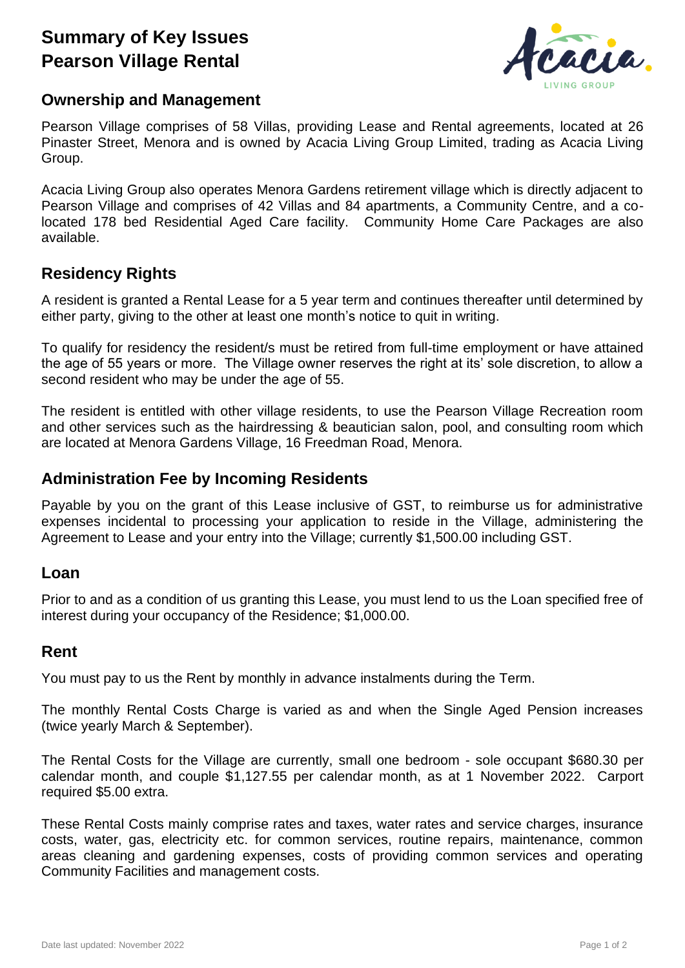# **Summary of Key Issues Pearson Village Rental**



### **Ownership and Management**

Pearson Village comprises of 58 Villas, providing Lease and Rental agreements, located at 26 Pinaster Street, Menora and is owned by Acacia Living Group Limited, trading as Acacia Living Group.

Acacia Living Group also operates Menora Gardens retirement village which is directly adjacent to Pearson Village and comprises of 42 Villas and 84 apartments, a Community Centre, and a colocated 178 bed Residential Aged Care facility. Community Home Care Packages are also available.

# **Residency Rights**

A resident is granted a Rental Lease for a 5 year term and continues thereafter until determined by either party, giving to the other at least one month's notice to quit in writing.

To qualify for residency the resident/s must be retired from full-time employment or have attained the age of 55 years or more. The Village owner reserves the right at its' sole discretion, to allow a second resident who may be under the age of 55.

The resident is entitled with other village residents, to use the Pearson Village Recreation room and other services such as the hairdressing & beautician salon, pool, and consulting room which are located at Menora Gardens Village, 16 Freedman Road, Menora.

### **Administration Fee by Incoming Residents**

Payable by you on the grant of this Lease inclusive of GST, to reimburse us for administrative expenses incidental to processing your application to reside in the Village, administering the Agreement to Lease and your entry into the Village; currently \$1,500.00 including GST.

#### **Loan**

Prior to and as a condition of us granting this Lease, you must lend to us the Loan specified free of interest during your occupancy of the Residence; \$1,000.00.

#### **Rent**

You must pay to us the Rent by monthly in advance instalments during the Term.

The monthly Rental Costs Charge is varied as and when the Single Aged Pension increases (twice yearly March & September).

The Rental Costs for the Village are currently, small one bedroom - sole occupant \$680.30 per calendar month, and couple \$1,127.55 per calendar month, as at 1 November 2022. Carport required \$5.00 extra.

These Rental Costs mainly comprise rates and taxes, water rates and service charges, insurance costs, water, gas, electricity etc. for common services, routine repairs, maintenance, common areas cleaning and gardening expenses, costs of providing common services and operating Community Facilities and management costs.